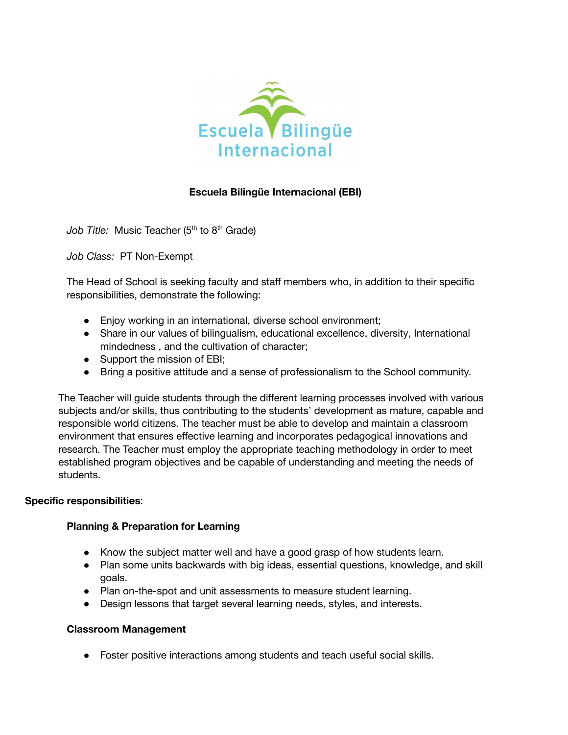

# **Escuela Bilingüe Internacional (EBI)**

Job Title: Music Teacher (5<sup>th</sup> to 8<sup>th</sup> Grade)

*Job Class:* PT Non-Exempt

The Head of School is seeking faculty and staff members who, in addition to their specific responsibilities, demonstrate the following:

- Enjoy working in an international, diverse school environment;
- Share in our values of bilingualism, educational excellence, diversity, International mindedness , and the cultivation of character;
- Support the mission of EBI;
- Bring a positive attitude and a sense of professionalism to the School community.

The Teacher will guide students through the different learning processes involved with various subjects and/or skills, thus contributing to the students' development as mature, capable and responsible world citizens. The teacher must be able to develop and maintain a classroom environment that ensures effective learning and incorporates pedagogical innovations and research. The Teacher must employ the appropriate teaching methodology in order to meet established program objectives and be capable of understanding and meeting the needs of students.

### **Specific responsibilities**:

### **Planning & Preparation for Learning**

- Know the subject matter well and have a good grasp of how students learn.
- Plan some units backwards with big ideas, essential questions, knowledge, and skill goals.
- Plan on-the-spot and unit assessments to measure student learning.
- Design lessons that target several learning needs, styles, and interests.

#### **Classroom Management**

● Foster positive interactions among students and teach useful social skills.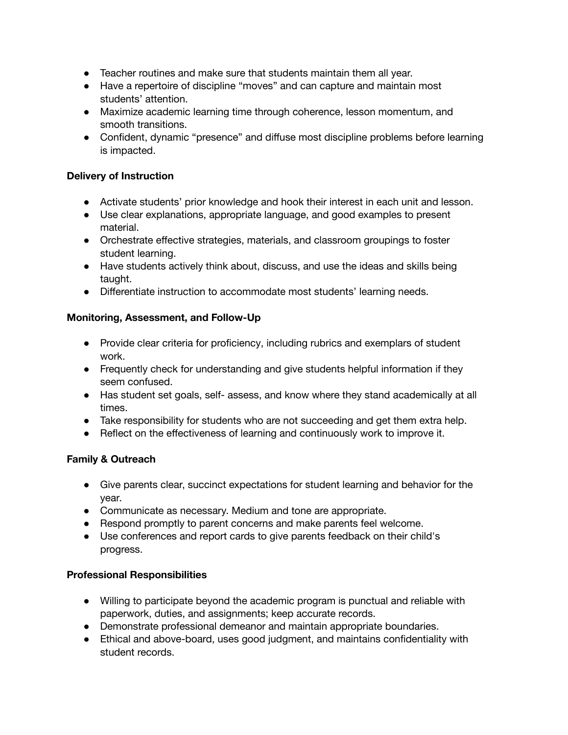- Teacher routines and make sure that students maintain them all year.
- Have a repertoire of discipline "moves" and can capture and maintain most students' attention.
- Maximize academic learning time through coherence, lesson momentum, and smooth transitions.
- Confident, dynamic "presence" and diffuse most discipline problems before learning is impacted.

### **Delivery of Instruction**

- Activate students' prior knowledge and hook their interest in each unit and lesson.
- Use clear explanations, appropriate language, and good examples to present material.
- Orchestrate effective strategies, materials, and classroom groupings to foster student learning.
- Have students actively think about, discuss, and use the ideas and skills being taught.
- Differentiate instruction to accommodate most students' learning needs.

## **Monitoring, Assessment, and Follow-Up**

- Provide clear criteria for proficiency, including rubrics and exemplars of student work.
- Frequently check for understanding and give students helpful information if they seem confused.
- Has student set goals, self- assess, and know where they stand academically at all times.
- Take responsibility for students who are not succeeding and get them extra help.
- Reflect on the effectiveness of learning and continuously work to improve it.

# **Family & Outreach**

- Give parents clear, succinct expectations for student learning and behavior for the year.
- Communicate as necessary. Medium and tone are appropriate.
- Respond promptly to parent concerns and make parents feel welcome.
- Use conferences and report cards to give parents feedback on their child's progress.

### **Professional Responsibilities**

- Willing to participate beyond the academic program is punctual and reliable with paperwork, duties, and assignments; keep accurate records.
- Demonstrate professional demeanor and maintain appropriate boundaries.
- Ethical and above-board, uses good judgment, and maintains confidentiality with student records.